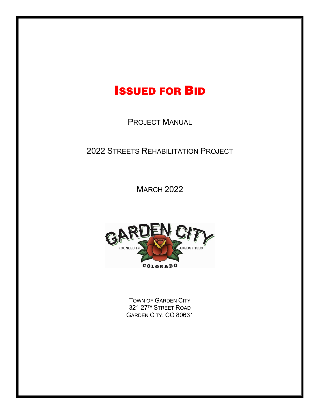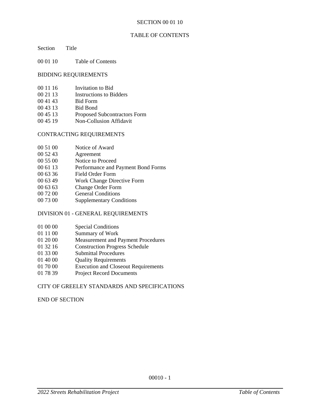#### SECTION 00 01 10

## TABLE OF CONTENTS

Section Title

00 01 10 Table of Contents

#### BIDDING REQUIREMENTS

- 00 11 16 Invitation to Bid
- 00 21 13 Instructions to Bidders
- 00 41 43 Bid Form
- 00 43 13 Bid Bond
- 00 45 13 Proposed Subcontractors Form
- 00 45 19 Non-Collusion Affidavit

## CONTRACTING REQUIREMENTS

- 00 51 00 Notice of Award
- 00 52 43 Agreement
- 00 55 00 Notice to Proceed
- 00 61 13 Performance and Payment Bond Forms
- 00 63 36 Field Order Form
- 00 63 49 Work Change Directive Form
- 00 63 63 Change Order Form
- 00 72 00 General Conditions
- 00 73 00 Supplementary Conditions

## DIVISION 01 - GENERAL REQUIREMENTS

- 01 00 00 Special Conditions
- 01 11 00 Summary of Work
- 01 20 00 Measurement and Payment Procedures
- 01 32 16 Construction Progress Schedule
- 01 33 00 Submittal Procedures
- 01 40 00 Quality Requirements
- 01 70 00 Execution and Closeout Requirements
- 01 78 39 Project Record Documents

## CITY OF GREELEY STANDARDS AND SPECIFICATIONS

END OF SECTION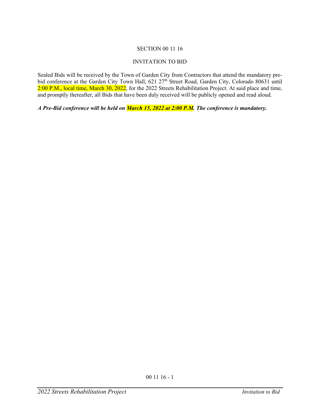# SECTION 00 11 16

# INVITATION TO BID

Sealed Bids will be received by the Town of Garden City from Contractors that attend the mandatory prebid conference at the Garden City Town Hall, 621 27<sup>th</sup> Street Road, Garden City, Colorado 80631 until 2:00 P.M., local time, March 30,  $2022$ , for the 2022 Streets Rehabilitation Project. At said place and time, and promptly thereafter, all Bids that have been duly received will be publicly opened and read aloud.

*A Pre-Bid conference will be held on March 15, 2022 at 2:00 P.M. The conference is mandatory.*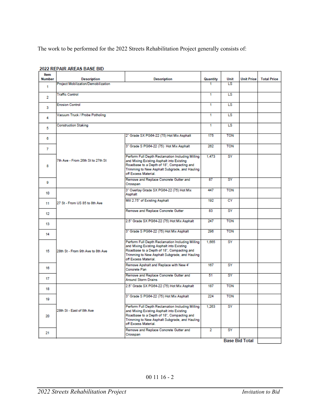The work to be performed for the 2022 Streets Rehabilitation Project generally consists of:

| Item<br><b>Number</b> | <b>Description</b>                         | <b>Description</b>                                                                                                                                                                                                   | Quantity       | Unit       | <b>Unit Price</b> | <b>Total Price</b> |
|-----------------------|--------------------------------------------|----------------------------------------------------------------------------------------------------------------------------------------------------------------------------------------------------------------------|----------------|------------|-------------------|--------------------|
| 1.                    | <b>Project Mobilization/Demobilization</b> |                                                                                                                                                                                                                      |                | LS         |                   |                    |
| $\overline{2}$        | <b>Traffic Control</b>                     |                                                                                                                                                                                                                      | 1              | LS         |                   |                    |
| 3                     | <b>Erosion Control</b>                     |                                                                                                                                                                                                                      | 1              | LS         |                   |                    |
| 4                     | Vacuum Truck / Probe Potholing             |                                                                                                                                                                                                                      | 1              | LS         |                   |                    |
| 5                     | <b>Construction Staking</b>                |                                                                                                                                                                                                                      | 1              | <b>LS</b>  |                   |                    |
| 6                     | 7th Ave - From 26th St to 27th St          | 2" Grade SX PG64-22 (75) Hot Mix Asphalt                                                                                                                                                                             | 175            | <b>TON</b> |                   |                    |
| 7                     |                                            | 3" Grade S PG64-22 (75) Hot Mix Asphalt                                                                                                                                                                              | 262            | <b>TON</b> |                   |                    |
| 8                     |                                            | Perform Full Depth Reclamation Including Milling<br>and Mixing Existing Asphalt into Existing<br>Roadbase to a Depth of 18", Compacting and<br>Trimming to New Asphalt Subgrade, and Hauling<br>off Excess Material. | 1.473          | SY         |                   |                    |
| o                     |                                            | Remove and Replace Concrete Gutter and<br>Crosspan                                                                                                                                                                   | 87             | SY         |                   |                    |
| 10                    | 27 St - From US 85 to 8th Ave              | 3" Overlay Grade SX PG64-22 (75) Hot Mix<br>Asphalt                                                                                                                                                                  | 447            | <b>TON</b> |                   |                    |
| 11                    |                                            | Mill 2.75" of Existing Asphalt                                                                                                                                                                                       | 192            | CY         |                   |                    |
| 12                    |                                            | Remove and Replace Concrete Gutter                                                                                                                                                                                   | 83             | SY         |                   |                    |
| 13                    | 28th St - From 9th Ave to 8th Ave          | 2.5" Grade SX PG64-22 (75) Hot Mix Asphalt                                                                                                                                                                           | 247            | <b>TON</b> |                   |                    |
| 14                    |                                            | 3" Grade S PG64-22 (75) Hot Mix Asphalt                                                                                                                                                                              | 296            | <b>TON</b> |                   |                    |
| 15                    |                                            | Perform Full Depth Reclamation Including Milling<br>and Mixing Existing Asphalt into Existing<br>Roadbase to a Depth of 18", Compacting and<br>Trimming to New Asphalt Subgrade, and Hauling<br>off Excess Material. | 1.665          | SY         |                   |                    |
| 16                    |                                            | Remove Apshalt and Replace with New 4"<br>Concrete Pan                                                                                                                                                               | 167            | SY         |                   |                    |
| 17                    |                                            | Remove and Replace Concrete Gutter and<br><b>Around Storm Drains</b>                                                                                                                                                 | 51             | SY         |                   |                    |
| 18                    | 28th St - East of 8th Ave                  | 2.5" Grade SX PG64-22 (75) Hot Mix Asphalt                                                                                                                                                                           | 187            | <b>TON</b> |                   |                    |
| 19                    |                                            | 3" Grade S PG64-22 (75) Hot Mix Asphalt                                                                                                                                                                              | 224            | <b>TON</b> |                   |                    |
| 20                    |                                            | Perform Full Depth Reclamation Including Milling<br>and Mixing Existing Asphalt into Existing<br>Roadbase to a Depth of 18", Compacting and<br>Trimming to New Asphalt Subgrade, and Hauling<br>off Excess Material. | 1.263          | SY         |                   |                    |
| 21                    |                                            | Remove and Replace Concrete Gutter and<br>Crosspan                                                                                                                                                                   | $\overline{2}$ | SY         |                   |                    |
|                       | <b>Base Bid Total</b>                      |                                                                                                                                                                                                                      |                |            |                   |                    |

#### 2022 REPAIR AREAS BASE BID